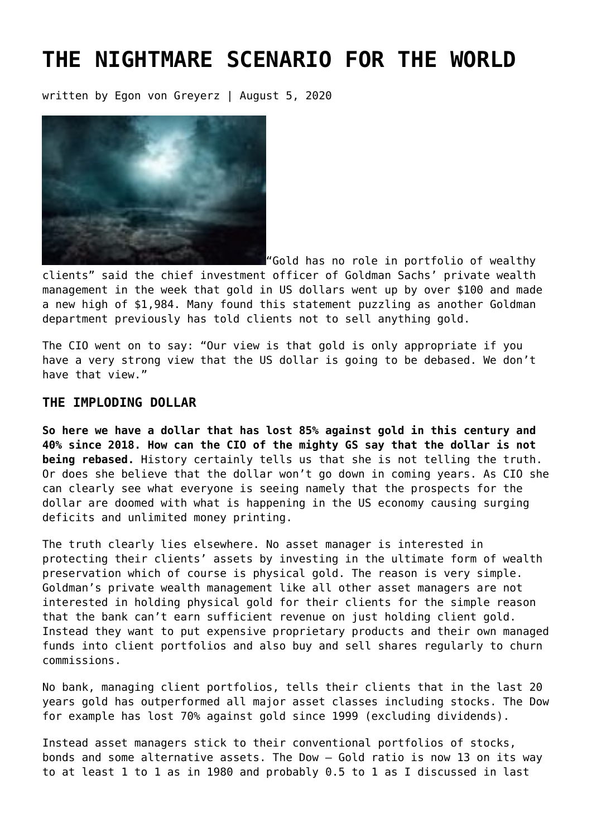# **[THE NIGHTMARE SCENARIO FOR THE WORLD](https://goldswitzerland.com/the-nightmare-scenario-for-the-world/)**

written by Egon von Greyerz | August 5, 2020



"Gold has no role in portfolio of wealthy

clients" said the chief investment officer of Goldman Sachs' private wealth management in the week that gold in US dollars went up by over \$100 and made a new high of \$1,984. Many found this statement puzzling as another Goldman department previously has told clients not to sell anything gold.

The CIO went on to say: "Our view is that gold is only appropriate if you have a very strong view that the US dollar is going to be debased. We don't have that view."

## **THE IMPLODING DOLLAR**

**So here we have a dollar that has lost 85% against gold in this century and 40% since 2018. How can the CIO of the mighty GS say that the dollar is not being rebased.** History certainly tells us that she is not telling the truth. Or does she believe that the dollar won't go down in coming years. As CIO she can clearly see what everyone is seeing namely that the prospects for the dollar are doomed with what is happening in the US economy causing surging deficits and unlimited money printing.

The truth clearly lies elsewhere. No asset manager is interested in protecting their clients' assets by investing in the ultimate form of wealth preservation which of course is physical gold. The reason is very simple. Goldman's private wealth management like all other asset managers are not interested in holding physical gold for their clients for the simple reason that the bank can't earn sufficient revenue on just holding client gold. Instead they want to put expensive proprietary products and their own managed funds into client portfolios and also buy and sell shares regularly to churn commissions.

No bank, managing client portfolios, tells their clients that in the last 20 years gold has outperformed all major asset classes including stocks. The Dow for example has lost 70% against gold since 1999 (excluding dividends).

Instead asset managers stick to their conventional portfolios of stocks, bonds and some alternative assets. The Dow – Gold ratio is now 13 on its way to at least 1 to 1 as in 1980 and probably 0.5 to 1 as I discussed [in last](https://goldswitzerland.com/gold-the-sine-qua-non-investment/)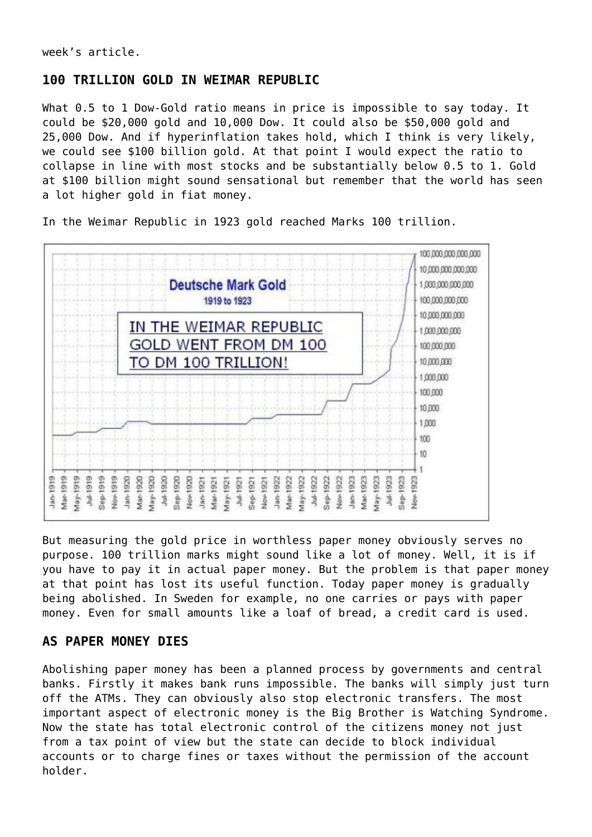[week's article](https://goldswitzerland.com/gold-the-sine-qua-non-investment/).

## **100 TRILLION GOLD IN WEIMAR REPUBLIC**

What 0.5 to 1 Dow-Gold ratio means in price is impossible to say today. It could be \$20,000 gold and 10,000 Dow. It could also be \$50,000 gold and 25,000 Dow. And if hyperinflation takes hold, which I think is very likely, we could see \$100 billion gold. At that point I would expect the ratio to collapse in line with most stocks and be substantially below 0.5 to 1. Gold at \$100 billion might sound sensational but remember that the world has seen a lot higher gold in fiat money.

In the Weimar Republic in 1923 gold reached Marks 100 trillion.



But measuring the gold price in worthless paper money obviously serves no purpose. 100 trillion marks might sound like a lot of money. Well, it is if you have to pay it in actual paper money. But the problem is that paper money at that point has lost its useful function. Today paper money is gradually being abolished. In Sweden for example, no one carries or pays with paper money. Even for small amounts like a loaf of bread, a credit card is used.

# **AS PAPER MONEY DIES**

Abolishing paper money has been a planned process by governments and central banks. Firstly it makes bank runs impossible. The banks will simply just turn off the ATMs. They can obviously also stop electronic transfers. The most important aspect of electronic money is the Big Brother is Watching Syndrome. Now the state has total electronic control of the citizens money not just from a tax point of view but the state can decide to block individual accounts or to charge fines or taxes without the permission of the account holder.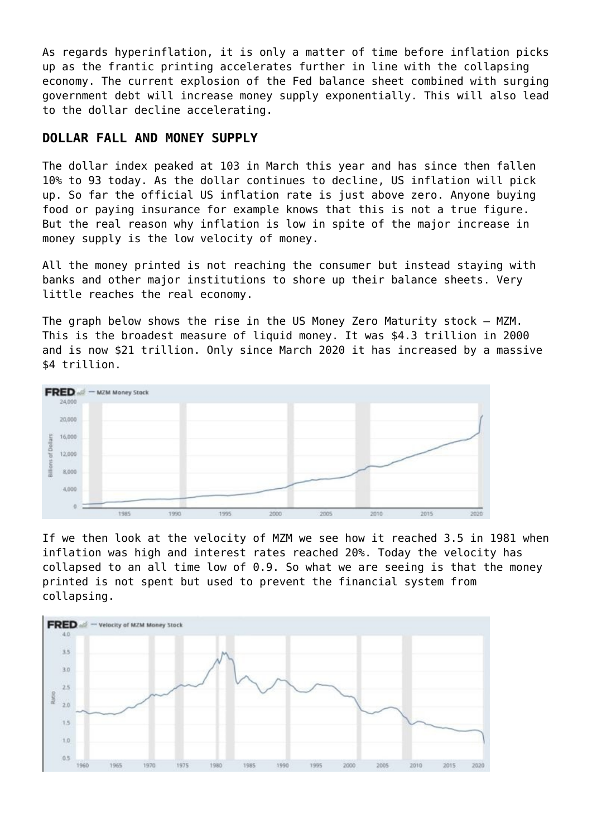As regards hyperinflation, it is only a matter of time before inflation picks up as the frantic printing accelerates further in line with the collapsing economy. The current explosion of the Fed balance sheet combined with surging government debt will increase money supply exponentially. This will also lead to the dollar decline accelerating.

## **DOLLAR FALL AND MONEY SUPPLY**

The dollar index peaked at 103 in March this year and has since then fallen 10% to 93 today. As the dollar continues to decline, US inflation will pick up. So far the official US inflation rate is just above zero. Anyone buying food or paying insurance for example knows that this is not a true figure. But the real reason why inflation is low in spite of the major increase in money supply is the low velocity of money.

All the money printed is not reaching the consumer but instead staying with banks and other major institutions to shore up their balance sheets. Very little reaches the real economy.

The graph below shows the rise in the US Money Zero Maturity stock – MZM. This is the broadest measure of liquid money. It was \$4.3 trillion in 2000 and is now \$21 trillion. Only since March 2020 it has increased by a massive \$4 trillion.



If we then look at the velocity of MZM we see how it reached 3.5 in 1981 when inflation was high and interest rates reached 20%. Today the velocity has collapsed to an all time low of 0.9. So what we are seeing is that the money printed is not spent but used to prevent the financial system from collapsing.

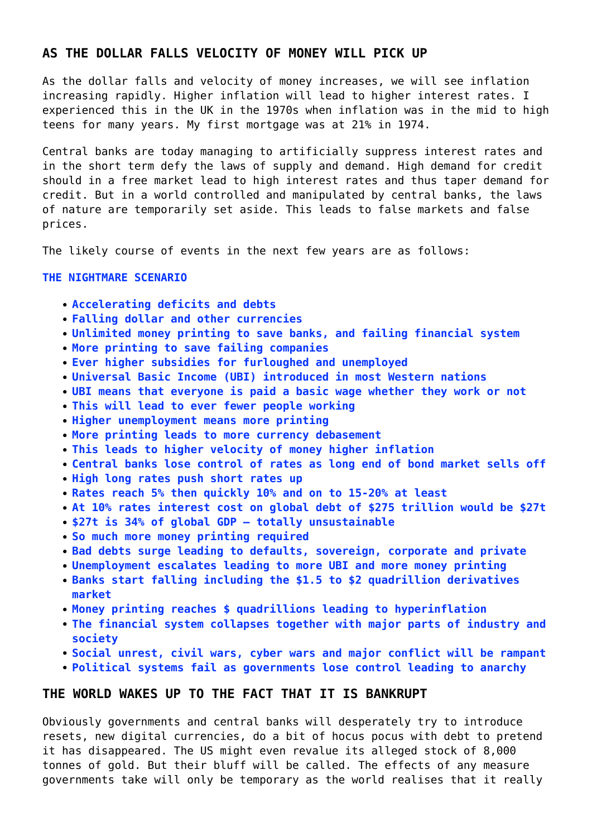# **AS THE DOLLAR FALLS VELOCITY OF MONEY WILL PICK UP**

As the dollar falls and velocity of money increases, we will see inflation increasing rapidly. Higher inflation will lead to higher interest rates. I experienced this in the UK in the 1970s when inflation was in the mid to high teens for many years. My first mortgage was at 21% in 1974.

Central banks are today managing to artificially suppress interest rates and in the short term defy the laws of supply and demand. High demand for credit should in a free market lead to high interest rates and thus taper demand for credit. But in a world controlled and manipulated by central banks, the laws of nature are temporarily set aside. This leads to false markets and false prices.

The likely course of events in the next few years are as follows:

#### **THE NIGHTMARE SCENARIO**

- **Accelerating deficits and debts**
- **Falling dollar and other currencies**
- **Unlimited money printing to save banks, and failing financial system**
- **More printing to save failing companies**
- **Ever higher subsidies for furloughed and unemployed**
- **Universal Basic Income (UBI) introduced in most Western nations**
- **UBI means that everyone is paid a basic wage whether they work or not**
- **This will lead to ever fewer people working**
- **Higher unemployment means more printing**
- **More printing leads to more currency debasement**
- **This leads to higher velocity of money higher inflation**
- **Central banks lose control of rates as long end of bond market sells off**
- **High long rates push short rates up**
- **Rates reach 5% then quickly 10% and on to 15-20% at least**
- **At 10% rates interest cost on global debt of \$275 trillion would be \$27t**
- **\$27t is 34% of global GDP totally unsustainable**
- **So much more money printing required**
- **Bad debts surge leading to defaults, sovereign, corporate and private**
- **Unemployment escalates leading to more UBI and more money printing**
- **Banks start falling including the \$1.5 to \$2 quadrillion derivatives market**
- **Money printing reaches \$ quadrillions leading to hyperinflation**
- **The financial system collapses together with major parts of industry and society**
- **Social unrest, civil wars, cyber wars and major conflict will be rampant**
- **Political systems fail as governments lose control leading to anarchy**

## **THE WORLD WAKES UP TO THE FACT THAT IT IS BANKRUPT**

Obviously governments and central banks will desperately try to introduce resets, new digital currencies, do a bit of hocus pocus with debt to pretend it has disappeared. The US might even revalue its alleged stock of 8,000 tonnes of gold. But their bluff will be called. The effects of any measure governments take will only be temporary as the world realises that it really